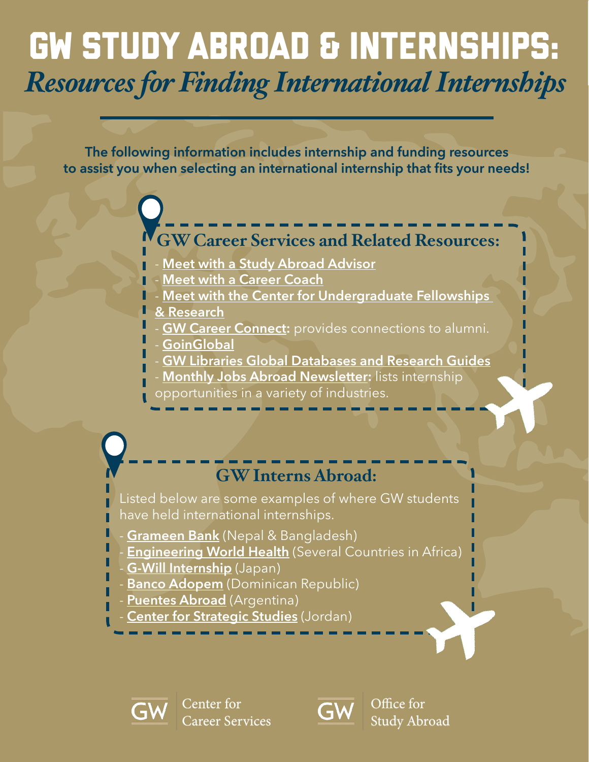## GW Study Abroad & Internships: *Resources for Finding International Internships*

The following information includes internship and funding resources to assist you when selecting an international internship that fits your needs!

### **GW Career Services and Related Resources:**

- [Meet with a Study Abroad Advisor](https://studyabroad.gwu.edu/advising)
- [Meet with a Career Coach](https://careerservices.gwu.edu/coaching)
- Meet with the Center for Undergraduate Fellowships
- [& Research](https://undergraduate.research.gwu.edu)
- [GW Career Connect:](https://careerconnect.gwu.edu) provides connections to alumni.
- [GoinGlobal](https://online.goinglobal.com)
- [GW Libraries Global Databases and Research Guides](https://library.gwu.edu/grc/guides)
- [Monthly Jobs Abroad Newsletter](https://app.e2ma.net/app2/audience/signup/1797162/36055.17415383/): lists internship
- opportunities in a variety of industries.

## **GW Interns Abroad:**

Listed below are some examples of where GW students have held international internships.

- [Grameen Bank](https://blogs.gwu.edu/gw-grameen/gw-grameen-internship-partnership/frequently-asking-questions/) (Nepal & Bangladesh)
- **[Engineering World Health](https://www.ewh.org/the-institutes/)** (Several Countries in Africa)
- **[G-Will Internship](http://www.gwill.jp/study_abroad.html)** (Japan)
- [Banco Adopem](https://bancoadopem.com.do/app/do/frontpage.aspx) (Dominican Republic)
- **[Puentes Abroad](https://www.puentesabroad.com/start)** (Argentina)
- **[Center for Strategic Studies](http://jcss.org/Contents/Internship_Programme.aspx)** (Jordan)





Office for Study Abroad